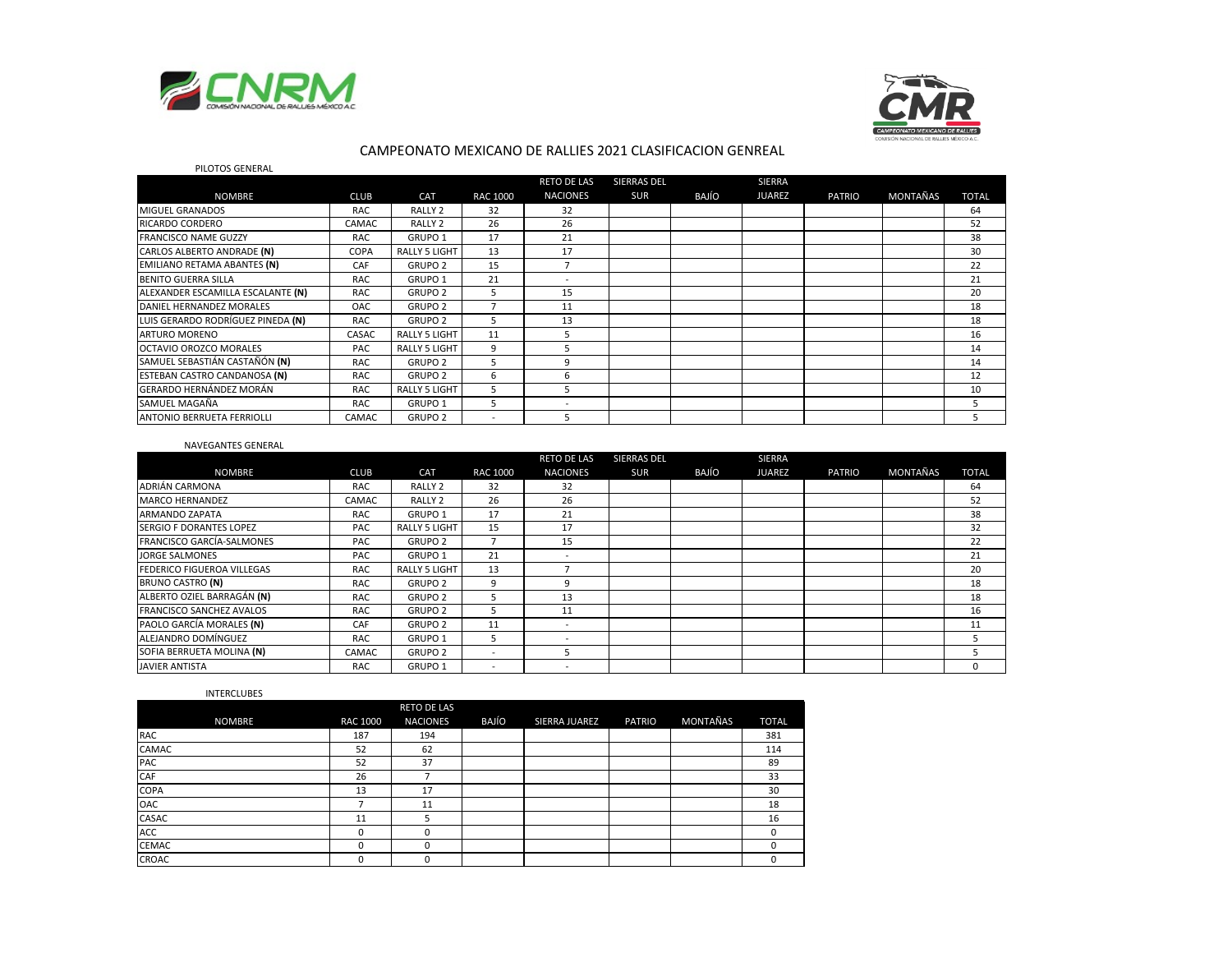



## CAMPEONATO MEXICANO DE RALLIES 2021 CLASIFICACION GENREAL

| PILOTOS GENERAL                     |            |                      |                          |                    |                    |       |               |               |          |              |
|-------------------------------------|------------|----------------------|--------------------------|--------------------|--------------------|-------|---------------|---------------|----------|--------------|
|                                     |            |                      |                          | <b>RETO DE LAS</b> | <b>SIERRAS DEL</b> |       | <b>SIERRA</b> |               |          |              |
| <b>NOMBRE</b>                       | CLUB       | CAT                  | <b>RAC 1000</b>          | <b>NACIONES</b>    | <b>SUR</b>         | BAJÍO | <b>JUAREZ</b> | <b>PATRIO</b> | MONTAÑAS | <b>TOTAL</b> |
| MIGUEL GRANADOS                     | <b>RAC</b> | RALLY <sub>2</sub>   | 32                       | 32                 |                    |       |               |               |          | 64           |
| <b>RICARDO CORDERO</b>              | CAMAC      | RALLY <sub>2</sub>   | 26                       | 26                 |                    |       |               |               |          | 52           |
| <b>FRANCISCO NAME GUZZY</b>         | <b>RAC</b> | GRUPO <sub>1</sub>   | 17                       | 21                 |                    |       |               |               |          | 38           |
| CARLOS ALBERTO ANDRADE (N)          | COPA       | <b>RALLY 5 LIGHT</b> | 13                       | 17                 |                    |       |               |               |          | 30           |
| EMILIANO RETAMA ABANTES (N)         | CAF        | <b>GRUPO 2</b>       | 15                       | $\overline{ }$     |                    |       |               |               |          | 22           |
| <b>BENITO GUERRA SILLA</b>          | <b>RAC</b> | GRUPO <sub>1</sub>   | 21                       |                    |                    |       |               |               |          | 21           |
| ALEXANDER ESCAMILLA ESCALANTE (N)   | <b>RAC</b> | <b>GRUPO 2</b>       | 5                        | 15                 |                    |       |               |               |          | 20           |
| DANIEL HERNANDEZ MORALES            | <b>OAC</b> | <b>GRUPO 2</b>       | 7                        | 11                 |                    |       |               |               |          | 18           |
| LUIS GERARDO RODRÍGUEZ PINEDA (N)   | <b>RAC</b> | <b>GRUPO 2</b>       | 5                        | 13                 |                    |       |               |               |          | 18           |
| <b>ARTURO MORENO</b>                | CASAC      | <b>RALLY 5 LIGHT</b> | 11                       | 5                  |                    |       |               |               |          | 16           |
| <b>OCTAVIO OROZCO MORALES</b>       | PAC        | <b>RALLY 5 LIGHT</b> | 9                        | 5                  |                    |       |               |               |          | 14           |
| SAMUEL SEBASTIÁN CASTAÑÓN (N)       | <b>RAC</b> | <b>GRUPO 2</b>       | 5                        | 9                  |                    |       |               |               |          | 14           |
| <b>ESTEBAN CASTRO CANDANOSA (N)</b> | <b>RAC</b> | <b>GRUPO 2</b>       | 6                        | 6                  |                    |       |               |               |          | 12           |
| GERARDO HERNÁNDEZ MORÁN             | <b>RAC</b> | <b>RALLY 5 LIGHT</b> | 5                        | 5                  |                    |       |               |               |          | 10           |
| SAMUEL MAGAÑA                       | <b>RAC</b> | GRUPO <sub>1</sub>   | 5                        |                    |                    |       |               |               |          | 5            |
| ANTONIO BERRUETA FERRIOLLI          | CAMAC      | <b>GRUPO 2</b>       | $\overline{\phantom{a}}$ | 5                  |                    |       |               |               |          |              |

#### NAVEGANTES GENERAL

|                                   |            |                      |                          | <b>RETO DE LAS</b>       | <b>SIERRAS DEL</b> |       | SIERRA        |               |          |              |
|-----------------------------------|------------|----------------------|--------------------------|--------------------------|--------------------|-------|---------------|---------------|----------|--------------|
| <b>NOMBRE</b>                     | CLUB       | CAT                  | RAC 1000                 | <b>NACIONES</b>          | <b>SUR</b>         | BAJÍO | <b>JUAREZ</b> | <b>PATRIO</b> | MONTAÑAS | <b>TOTAL</b> |
| ADRIÁN CARMONA                    | <b>RAC</b> | RALLY <sub>2</sub>   | 32                       | 32                       |                    |       |               |               |          | 64           |
| <b>MARCO HERNANDEZ</b>            | CAMAC      | RALLY <sub>2</sub>   | 26                       | 26                       |                    |       |               |               |          | 52           |
| <b>ARMANDO ZAPATA</b>             | <b>RAC</b> | GRUPO 1              | 17                       | 21                       |                    |       |               |               |          | 38           |
| SERGIO F DORANTES LOPEZ           | <b>PAC</b> | <b>RALLY 5 LIGHT</b> | 15                       | 17                       |                    |       |               |               |          | 32           |
| FRANCISCO GARCÍA-SALMONES         | <b>PAC</b> | <b>GRUPO 2</b>       |                          | 15                       |                    |       |               |               |          | 22           |
| JORGE SALMONES                    | <b>PAC</b> | GRUPO 1              | 21                       |                          |                    |       |               |               |          | 21           |
| <b>FEDERICO FIGUEROA VILLEGAS</b> | <b>RAC</b> | <b>RALLY 5 LIGHT</b> | 13                       |                          |                    |       |               |               |          | 20           |
| BRUNO CASTRO (N)                  | RAC        | <b>GRUPO 2</b>       | 9                        | 9                        |                    |       |               |               |          | 18           |
| ALBERTO OZIEL BARRAGÁN (N)        | <b>RAC</b> | <b>GRUPO 2</b>       | 5                        | 13                       |                    |       |               |               |          | 18           |
| <b>FRANCISCO SANCHEZ AVALOS</b>   | <b>RAC</b> | <b>GRUPO 2</b>       |                          | 11                       |                    |       |               |               |          | 16           |
| PAOLO GARCÍA MORALES (N)          | CAF        | <b>GRUPO 2</b>       | 11                       | $\overline{\phantom{a}}$ |                    |       |               |               |          | 11           |
| ALEJANDRO DOMÍNGUEZ               | <b>RAC</b> | GRUPO 1              | .5                       |                          |                    |       |               |               |          |              |
| SOFIA BERRUETA MOLINA (N)         | CAMAC      | <b>GRUPO 2</b>       | $\overline{\phantom{a}}$ |                          |                    |       |               |               |          |              |
| <b>JAVIER ANTISTA</b>             | <b>RAC</b> | GRUPO <sub>1</sub>   |                          |                          |                    |       |               |               |          | $\Omega$     |

#### INTERCLUBES

|               |                 | <b>RETO DE LAS</b> |       |               |               |          |              |
|---------------|-----------------|--------------------|-------|---------------|---------------|----------|--------------|
| <b>NOMBRE</b> | <b>RAC 1000</b> | <b>NACIONES</b>    | BAJÍO | SIERRA JUAREZ | <b>PATRIO</b> | MONTAÑAS | <b>TOTAL</b> |
| RAC           | 187             | 194                |       |               |               |          | 381          |
| CAMAC         | 52              | 62                 |       |               |               |          | 114          |
| PAC           | 52              | 37                 |       |               |               |          | 89           |
| CAF           | 26              |                    |       |               |               |          | 33           |
| COPA          | 13              | 17                 |       |               |               |          | 30           |
| OAC           |                 | 11                 |       |               |               |          | 18           |
| CASAC         | 11              |                    |       |               |               |          | 16           |
| ACC           |                 | 0                  |       |               |               |          |              |
| <b>CEMAC</b>  |                 | $\Omega$           |       |               |               |          |              |
| CROAC         | 0               | 0                  |       |               |               |          |              |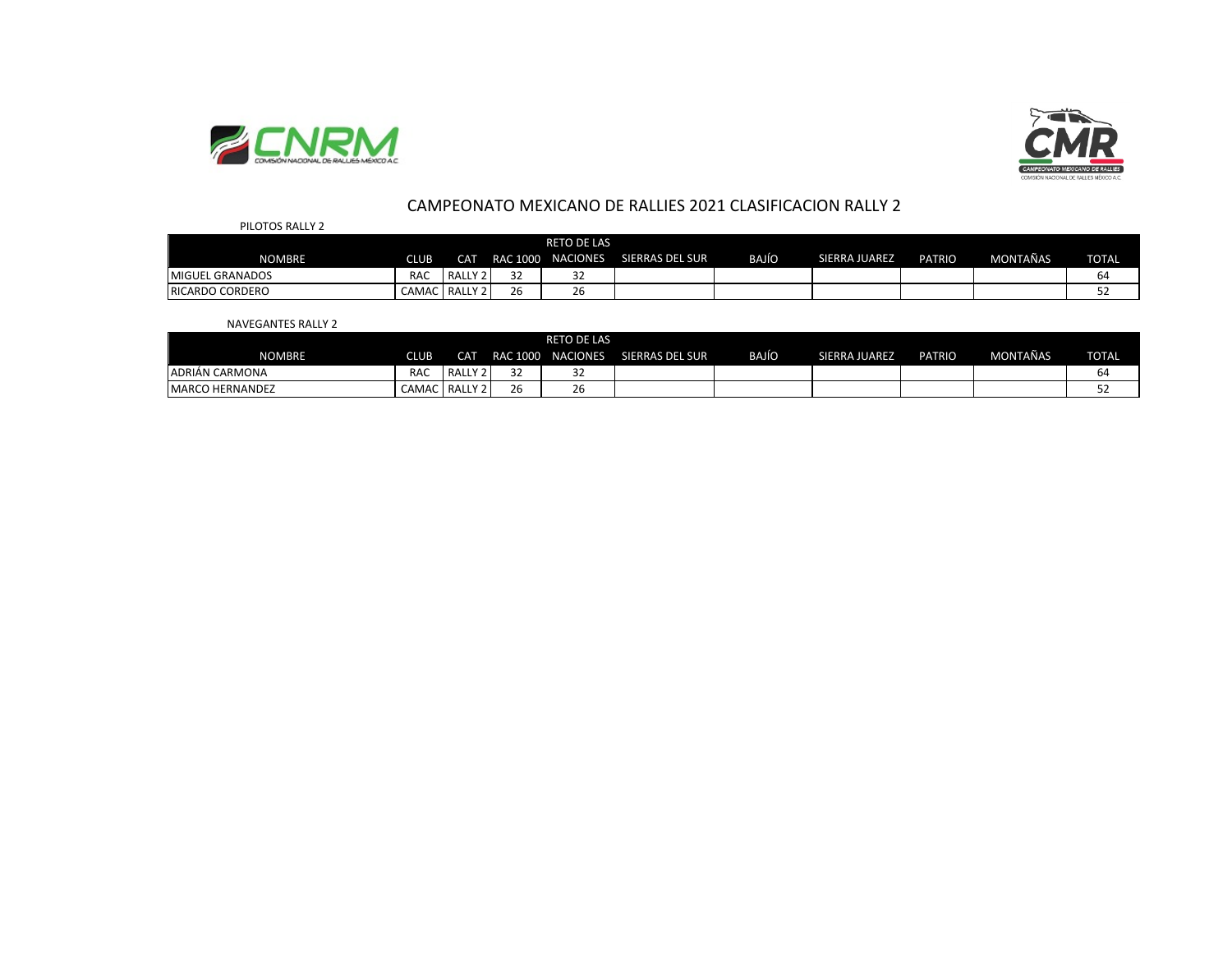



## CAMPEONATO MEXICANO DE RALLIES 2021 CLASIFICACION RALLY 2

| PILOTOS RALLY 2        |             |                      |              |                    |                 |       |               |               |                 |              |
|------------------------|-------------|----------------------|--------------|--------------------|-----------------|-------|---------------|---------------|-----------------|--------------|
|                        |             |                      |              | <b>RETO DE LAS</b> |                 |       |               |               |                 |              |
| <b>NOMBRE</b>          | <b>CLUB</b> | <b>CAT</b>           |              | RAC 1000 NACIONES  | SIERRAS DEL SUR | BAJÍO | SIERRA JUAREZ | <b>PATRIO</b> | <b>MONTAÑAS</b> | <b>TOTAL</b> |
| <b>MIGUEL GRANADOS</b> | <b>RAC</b>  | RALL<br>$\mathbf{v}$ | $\sim$       | 32                 |                 |       |               |               |                 | 64           |
| <b>RICARDO CORDERO</b> | CAMAC       | RALLY 2              | $\sim$<br>۷b | $\sim$<br>۷b       |                 |       |               |               |                 | ےر           |

#### NAVEGANTES RALLY 2

|                        |            |      |                    | <b>RETO DE LAS</b> |                        |              |               |               |          |              |
|------------------------|------------|------|--------------------|--------------------|------------------------|--------------|---------------|---------------|----------|--------------|
| <b>NOMBRE</b>          | CLUB       | CAT  |                    | RAC 1000 NACIONES  | <b>SIERRAS DEL SUR</b> | <b>BAJÍO</b> | SIERRA JUAREZ | <b>PATRIO</b> | MONTAÑAS | <b>TOTAL</b> |
| ADRIÁN CARMONA         | <b>RAC</b> | RALL | $\sim$<br>ັ        | $\sim$<br>ے ت      |                        |              |               |               |          | 64           |
| <b>MARCO HERNANDEZ</b> | CAMAC      | RALL | $\sim$ $\sim$<br>້ | $\sim$<br>۷b       |                        |              |               |               |          |              |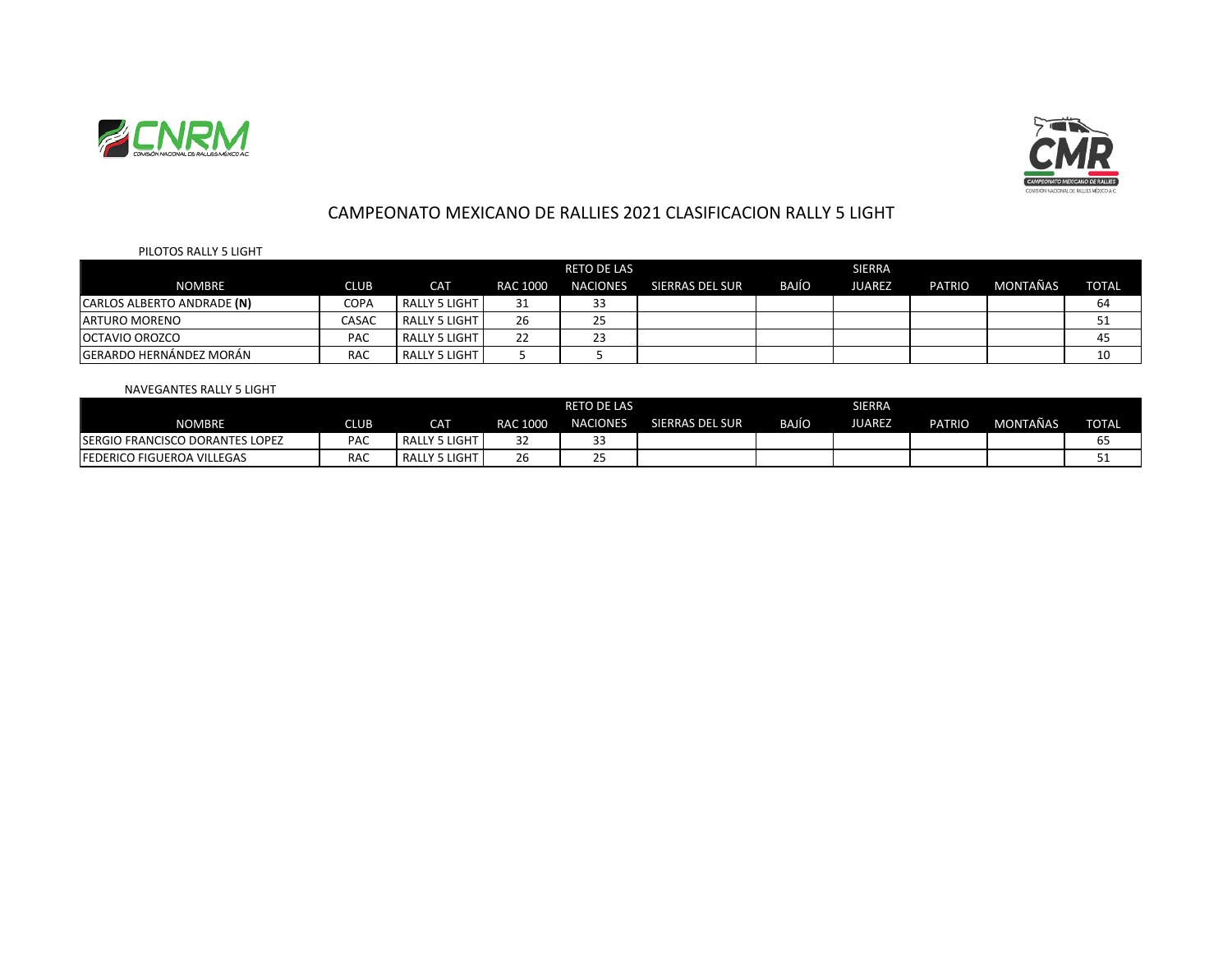



## CAMPEONATO MEXICANO DE RALLIES 2021 CLASIFICACION RALLY 5 LIGHT

### PILOTOS RALLY 5 LIGHT

|                            |            |                      |          | <b>RETO DE LAS</b> |                 |              | <b>SIERRA</b> |               |          |              |
|----------------------------|------------|----------------------|----------|--------------------|-----------------|--------------|---------------|---------------|----------|--------------|
| <b>NOMBRE</b>              | CLUB       | <b>CAT</b>           | RAC 1000 | <b>NACIONES</b>    | SIERRAS DEL SUR | <b>BAJÍO</b> | JUAREZ        | <b>PATRIO</b> | MONTAÑAS | <b>TOTAL</b> |
| CARLOS ALBERTO ANDRADE (N) | COPA       | RALLY 5 LIGHT        | 31       | 33                 |                 |              |               |               |          | 64           |
| <b>ARTURO MORENO</b>       | CASAC      | RALLY 5 LIGHT        | 26       | 25                 |                 |              |               |               |          |              |
| <b>OCTAVIO OROZCO</b>      | PAC        | <b>RALLY 5 LIGHT</b> | 22       | 23                 |                 |              |               |               |          | 45           |
| IGERARDO HERNÁNDEZ MORÁN   | <b>RAC</b> | <b>RALLY 5 LIGHT</b> |          |                    |                 |              |               |               |          | 10           |

### NAVEGANTES RALLY 5 LIGHT

|                                         |            |               |              | <b>RETO DE LAS</b>    |                 |              |        |               |          |              |
|-----------------------------------------|------------|---------------|--------------|-----------------------|-----------------|--------------|--------|---------------|----------|--------------|
| <b>NOMBRE</b>                           | CLUB '     | <b>CAT</b>    | RAC 1000     | <b>NACIONES</b>       | SIERRAS DEL SUR | <b>BAJÍO</b> | JUAREZ | <b>PATRIO</b> | MONTAÑAS | <b>TOTAL</b> |
| <b>ISERGIO FRANCISCO DORANTES LOPEZ</b> | <b>PAC</b> | RALLY 5 LIGHT | ےر           | $\sim$<br>J.,         |                 |              |        |               |          |              |
| <b>IFEDERICO FIGUEROA VILLEGAS</b>      | <b>RAC</b> | RALLY 5 LIGHT | $\sim$<br>۷b | $\sim$ $-$<br><u></u> |                 |              |        |               |          | --           |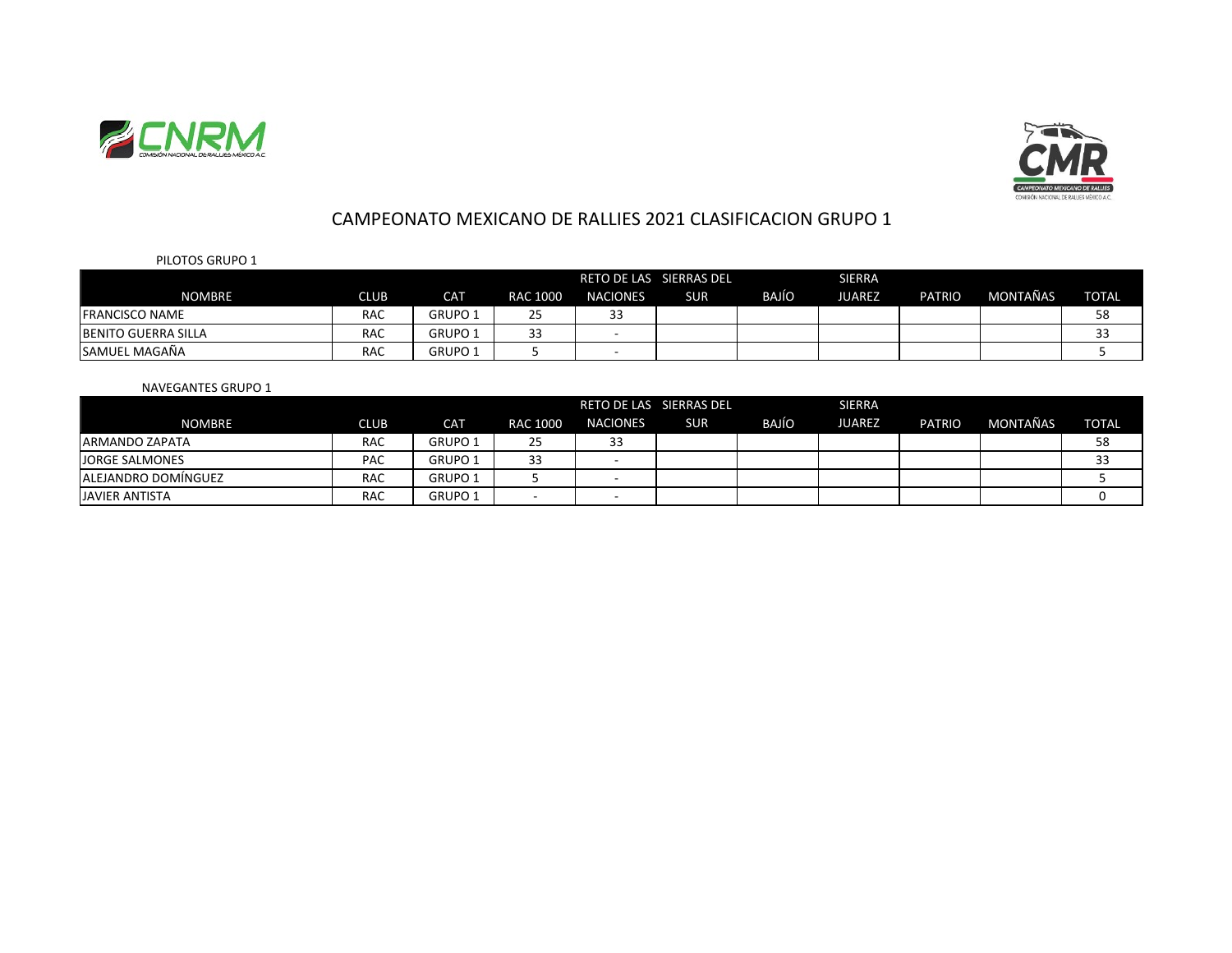



# CAMPEONATO MEXICANO DE RALLIES 2021 CLASIFICACION GRUPO 1

## PILOTOS GRUPO 1

|                            |            |                    |                               | RETO DE LAS SIERRAS DEL |            |              | <b>SIERRA</b> |               |          |              |
|----------------------------|------------|--------------------|-------------------------------|-------------------------|------------|--------------|---------------|---------------|----------|--------------|
| <b>NOMBRE</b>              | CLUB       | <b>CAT</b>         | RAC 1000                      | <b>NACIONES</b>         | <b>SUR</b> | <b>BAJÍO</b> | <b>JUAREZ</b> | <b>PATRIO</b> | MONTAÑAS | <b>TOTAL</b> |
| <b>FRANCISCO NAME</b>      | <b>RAC</b> | GRUPO <sub>1</sub> | <u>__</u><br>25               | 33                      |            |              |               |               |          | 58           |
| <b>BENITO GUERRA SILLA</b> | <b>RAC</b> | <b>GRUPO 1</b>     | $\mathbf{\overline{1}}$<br>33 |                         |            |              |               |               |          | $\sim$<br>33 |
| <b>SAMUEL MAGAÑA</b>       | <b>RAC</b> | GRUPO 1            |                               |                         |            |              |               |               |          |              |

## NAVEGANTES GRUPO 1

|                             | <b>SIERRA</b><br>RETO DE LAS SIERRAS DEL |                |          |                     |            |              |               |        |          |              |
|-----------------------------|------------------------------------------|----------------|----------|---------------------|------------|--------------|---------------|--------|----------|--------------|
| <b>NOMBRE</b>               | CLUB                                     | CAT            | RAC 1000 | <b>NACIONES</b>     | <b>SUR</b> | <b>BAJÍO</b> | <b>JUAREZ</b> | PATRIO | MONTAÑAS | <b>TOTAL</b> |
| <b>IARMANDO ZAPATA</b>      | <b>RAC</b>                               | <b>GRUPO 1</b> | 25       | $\mathcal{L}$<br>33 |            |              |               |        |          | 58           |
| <b>JORGE SALMONES</b>       | <b>PAC</b>                               | <b>GRUPO 1</b> | 33       |                     |            |              |               |        |          | 33           |
| <b>LALEJANDRO DOMÍNGUEZ</b> | <b>RAC</b>                               | <b>GRUPO 1</b> |          |                     |            |              |               |        |          |              |
| <b>JAVIER ANTISTA</b>       | <b>RAC</b>                               | <b>GRUPO 1</b> |          |                     |            |              |               |        |          |              |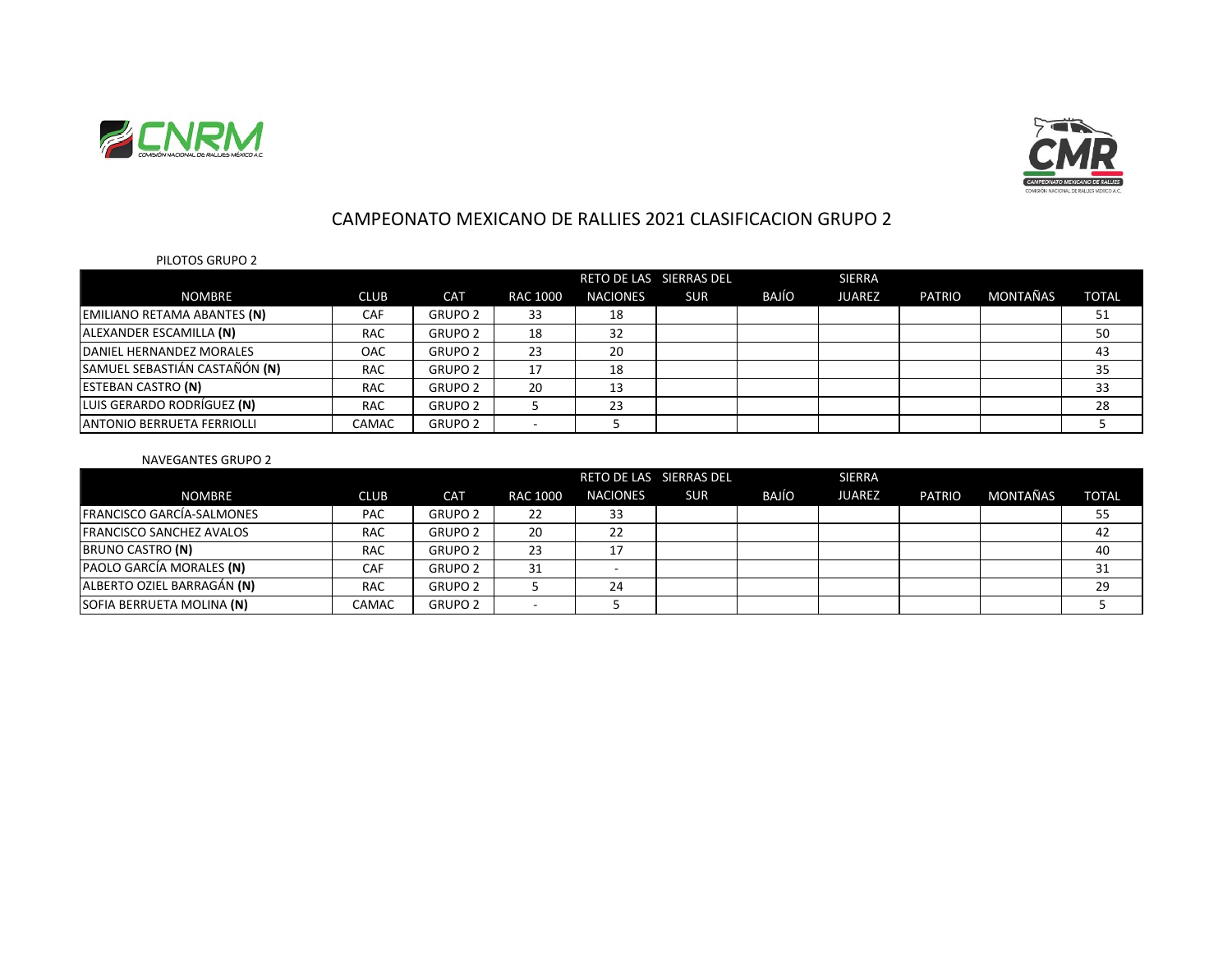



# CAMPEONATO MEXICANO DE RALLIES 2021 CLASIFICACION GRUPO 2

## PILOTOS GRUPO 2

|                               |             |                |                 |                 | RETO DE LAS SIERRAS DEL |       | <b>SIERRA</b> |               |          |              |
|-------------------------------|-------------|----------------|-----------------|-----------------|-------------------------|-------|---------------|---------------|----------|--------------|
| <b>NOMBRE</b>                 | <b>CLUB</b> | <b>CAT</b>     | <b>RAC 1000</b> | <b>NACIONES</b> | <b>SUR</b>              | BAJÍO | <b>JUAREZ</b> | <b>PATRIO</b> | MONTAÑAS | <b>TOTAL</b> |
| EMILIANO RETAMA ABANTES (N)   | <b>CAF</b>  | <b>GRUPO 2</b> | 33              | 18              |                         |       |               |               |          | 51           |
| ALEXANDER ESCAMILLA (N)       | <b>RAC</b>  | <b>GRUPO 2</b> | 18              | 32              |                         |       |               |               |          | 50           |
| DANIEL HERNANDEZ MORALES      | OAC         | <b>GRUPO 2</b> | 23              | 20              |                         |       |               |               |          | 43           |
| SAMUEL SEBASTIÁN CASTAÑÓN (N) | <b>RAC</b>  | <b>GRUPO 2</b> | 17              | 18              |                         |       |               |               |          | 35           |
| <b>ESTEBAN CASTRO (N)</b>     | <b>RAC</b>  | <b>GRUPO 2</b> | 20              | 13              |                         |       |               |               |          | 33           |
| LUIS GERARDO RODRÍGUEZ (N)    | <b>RAC</b>  | <b>GRUPO 2</b> |                 | 23              |                         |       |               |               |          | 28           |
| IANTONIO BERRUETA FERRIOLLI   | CAMAC       | <b>GRUPO 2</b> |                 |                 |                         |       |               |               |          |              |

### NAVEGANTES GRUPO 2

|                                 |             |                |                 | RETO DE LAS SIERRAS DEL |            | <b>SIERRA</b> |               |               |          |              |
|---------------------------------|-------------|----------------|-----------------|-------------------------|------------|---------------|---------------|---------------|----------|--------------|
| <b>NOMBRE</b>                   | <b>CLUB</b> | <b>CAT</b>     | <b>RAC 1000</b> | <b>NACIONES</b>         | <b>SUR</b> | BAJÍO         | <b>JUAREZ</b> | <b>PATRIO</b> | MONTAÑAS | <b>TOTAL</b> |
| FRANCISCO GARCÍA-SALMONES       | <b>PAC</b>  | <b>GRUPO 2</b> | 22              | 33                      |            |               |               |               |          | 55           |
| <b>FRANCISCO SANCHEZ AVALOS</b> | <b>RAC</b>  | <b>GRUPO 2</b> | 20              | 22                      |            |               |               |               |          | 42           |
| BRUNO CASTRO (N)                | <b>RAC</b>  | <b>GRUPO 2</b> | 23              | 17                      |            |               |               |               |          | 40           |
| PAOLO GARCÍA MORALES (N)        | CAF         | <b>GRUPO 2</b> | 31              |                         |            |               |               |               |          | 31           |
| ALBERTO OZIEL BARRAGÁN (N)      | <b>RAC</b>  | <b>GRUPO 2</b> |                 | 24                      |            |               |               |               |          | 29           |
| SOFIA BERRUETA MOLINA (N)       | CAMAC       | <b>GRUPO 2</b> |                 |                         |            |               |               |               |          |              |